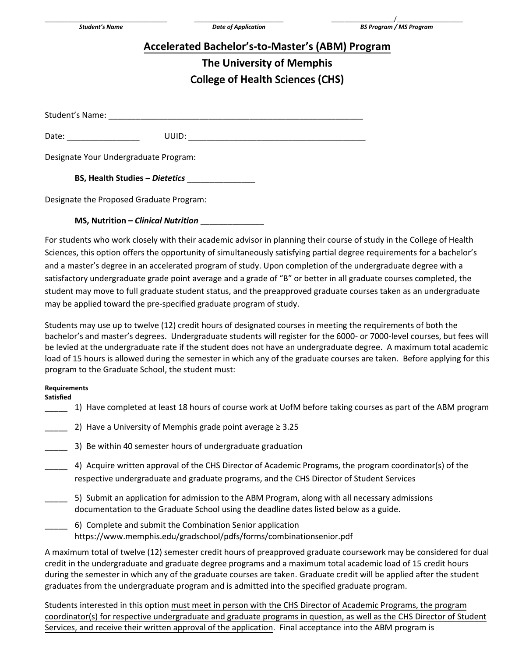## **Accelerated Bachelor's-to-Master's (ABM) Program**

## **The University of Memphis**  College **of Health** Sciences **(**C**HS)**

Student's Name:

Date: \_\_\_\_\_\_\_\_\_\_\_\_\_\_\_\_ UUID: \_\_\_\_\_\_\_\_\_\_\_\_\_\_\_\_\_\_\_\_\_\_\_\_\_\_\_\_\_\_\_\_\_\_\_\_\_\_\_

Designate Your Undergraduate Program:

**BS, Health Studies –** *Dietetics* \_\_\_\_\_\_\_\_\_\_\_\_\_\_\_

Designate the Proposed Graduate Program:

## **MS, Nutrition –** *Clinical Nutrition* \_\_\_\_\_\_\_\_\_\_\_\_\_\_

For students who work closely with their academic advisor in planning their course of study in the College of Health Sciences, this option offers the opportunity of simultaneously satisfying partial degree requirements for a bachelor's and a master's degree in an accelerated program of study. Upon completion of the undergraduate degree with a satisfactory undergraduate grade point average and a grade of "B" or better in all graduate courses completed, the student may move to full graduate student status, and the preapproved graduate courses taken as an undergraduate may be applied toward the pre-specified graduate program of study.

Students may use up to twelve (12) credit hours of designated courses in meeting the requirements of both the bachelor's and master's degrees. Undergraduate students will register for the 6000- or 7000-level courses, but fees will be levied at the undergraduate rate if the student does not have an undergraduate degree. A maximum total academic load of 15 hours is allowed during the semester in which any of the graduate courses are taken. Before applying for this program to the Graduate School, the student must:

## **Requirements**

**Satisfied** 

- \_\_\_\_\_ 1) Have completed at least 18 hours of course work at UofM before taking courses as part of the ABM program
- \_\_\_\_\_ 2) Have a University of Memphis grade point average ≥ 3.25
- 3) Be within 40 semester hours of undergraduate graduation
- \_\_\_\_\_ 4) Acquire written approval of the CHS Director of Academic Programs, the program coordinator(s) of the respective undergraduate and graduate programs, and the CHS Director of Student Services
- 5) Submit an application for admission to the ABM Program, along with all necessary admissions documentation to the Graduate School using the deadline dates listed below as a guide.
- \_\_\_\_\_ 6) Complete and submit the Combination Senior application https://www.memphis.edu/gradschool/pdfs/forms/combinationsenior.pdf

A maximum total of twelve (12) semester credit hours of preapproved graduate coursework may be considered for dual credit in the undergraduate and graduate degree programs and a maximum total academic load of 15 credit hours during the semester in which any of the graduate courses are taken. Graduate credit will be applied after the student graduates from the undergraduate program and is admitted into the specified graduate program.

Students interested in this option must meet in person with the CHS Director of Academic Programs, the program coordinator(s) for respective undergraduate and graduate programs in question, as well as the CHS Director of Student Services, and receive their written approval of the application. Final acceptance into the ABM program is